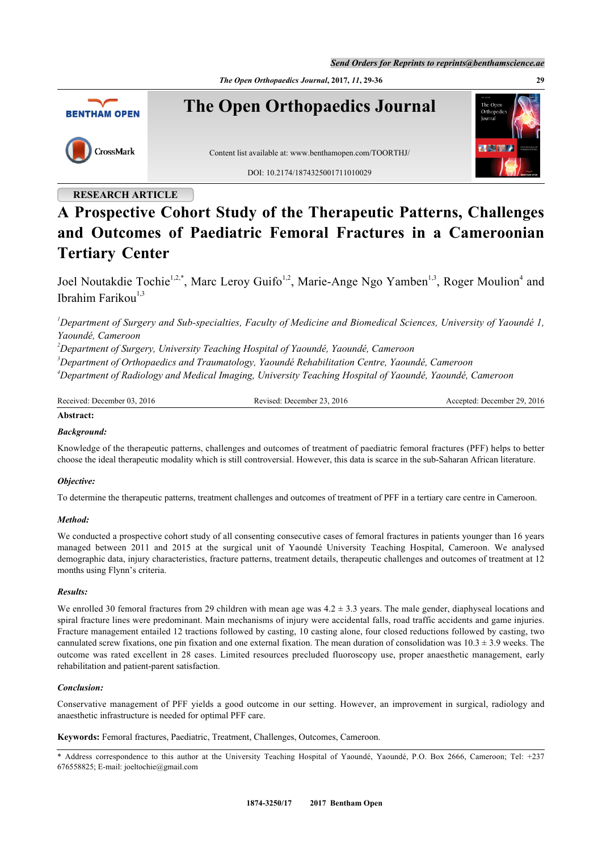*Send Orders for Reprints to reprints@benthamscience.ae*

*The Open Orthopaedics Journal***, 2017,** *11***, 29-36 29**



# **RESEARCH ARTICLE**

# **A Prospective Cohort Study of the Therapeutic Patterns, Challenges and Outcomes of Paediatric Femoral Fractures in a Cameroonian Tertiary Center**

Joel Noutakdie Tochie<sup>[1,](#page-0-0)[2,](#page-0-1)[\\*](#page-0-2)</sup>, Marc Leroy Guifo<sup>1,[2](#page-0-1)</sup>, Marie-Ange Ngo Yamben<sup>1,[3](#page-0-3)</sup>, Roger Moulion<sup>[4](#page-0-4)</sup> and Ibrahim Farikou $1,3$  $1,3$  $1,3$ 

<span id="page-0-0"></span>*<sup>1</sup>Department of Surgery and Sub-specialties, Faculty of Medicine and Biomedical Sciences, University of Yaoundé 1, Yaoundé, Cameroon*

<span id="page-0-1"></span>*<sup>2</sup>Department of Surgery, University Teaching Hospital of Yaoundé, Yaoundé, Cameroon*

<span id="page-0-3"></span>*<sup>3</sup>Department of Orthopaedics and Traumatology, Yaoundé Rehabilitation Centre, Yaoundé, Cameroon*

<span id="page-0-4"></span>*<sup>4</sup>Department of Radiology and Medical Imaging, University Teaching Hospital of Yaoundé, Yaoundé, Cameroon*

| Received:<br>2016<br>December 03. | 2016<br>. .<br>evised<br>-December | 2016<br>20.<br>December<br>enteg<br>ческ |
|-----------------------------------|------------------------------------|------------------------------------------|
|-----------------------------------|------------------------------------|------------------------------------------|

# **Abstract:**

## *Background:*

Knowledge of the therapeutic patterns, challenges and outcomes of treatment of paediatric femoral fractures (PFF) helps to better choose the ideal therapeutic modality which is still controversial. However, this data is scarce in the sub-Saharan African literature.

#### *Objective:*

To determine the therapeutic patterns, treatment challenges and outcomes of treatment of PFF in a tertiary care centre in Cameroon.

#### *Method:*

We conducted a prospective cohort study of all consenting consecutive cases of femoral fractures in patients younger than 16 years managed between 2011 and 2015 at the surgical unit of Yaoundé University Teaching Hospital, Cameroon. We analysed demographic data, injury characteristics, fracture patterns, treatment details, therapeutic challenges and outcomes of treatment at 12 months using Flynn's criteria.

## *Results:*

We enrolled 30 femoral fractures from 29 children with mean age was  $4.2 \pm 3.3$  years. The male gender, diaphyseal locations and spiral fracture lines were predominant. Main mechanisms of injury were accidental falls, road traffic accidents and game injuries. Fracture management entailed 12 tractions followed by casting, 10 casting alone, four closed reductions followed by casting, two cannulated screw fixations, one pin fixation and one external fixation. The mean duration of consolidation was 10.3 ± 3.9 weeks. The outcome was rated excellent in 28 cases. Limited resources precluded fluoroscopy use, proper anaesthetic management, early rehabilitation and patient-parent satisfaction.

#### *Conclusion:*

Conservative management of PFF yields a good outcome in our setting. However, an improvement in surgical, radiology and anaesthetic infrastructure is needed for optimal PFF care.

**Keywords:** Femoral fractures, Paediatric, Treatment, Challenges, Outcomes, Cameroon.

<span id="page-0-2"></span>\* Address correspondence to this author at the University Teaching Hospital of Yaoundé, Yaoundé, P.O. Box 2666, Cameroon; Tel: +237 676558825; E-mail: [joeltochie@gmail.com](mailto:joeltochie@gmail.com)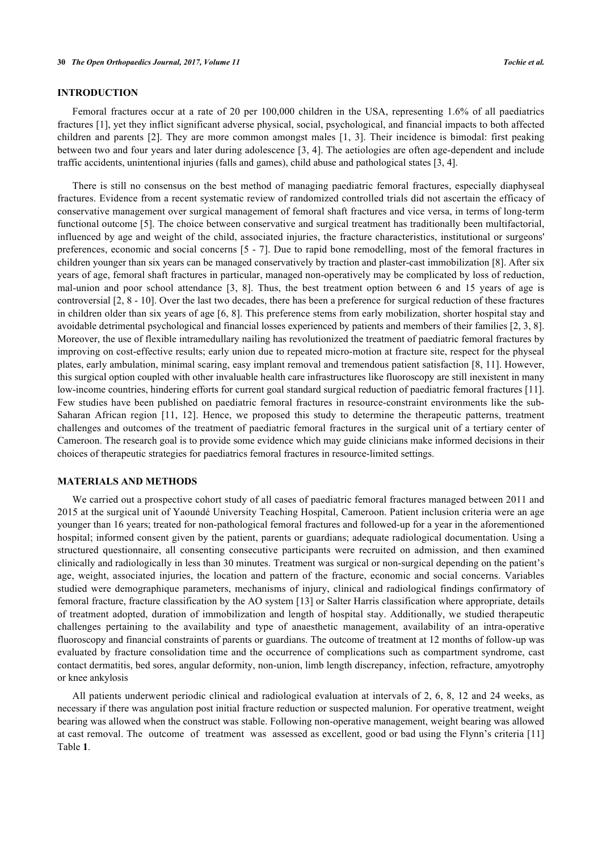## **INTRODUCTION**

Femoral fractures occur at a rate of 20 per 100,000 children in the USA, representing 1.6% of all paediatrics fractures [1], yet they inflict significant adverse physical, social, psychological, and financial impacts to both affected children [an](#page-6-0)d parents [2]. They are more common amongst males [1, 3]. Their incidence is bimodal: first peaking between two and four [ye](#page-6-1)ars and later during adolescence [3, 4]. The [a](#page-6-0)e[ti](#page-6-2)ologies are often age-dependent and include traffic accidents, unintentional injuries (falls and games), ch[ild](#page-6-2) [a](#page-6-3)buse and pathological states [\[3](#page-6-2), [4](#page-6-3)].

There is still no consensus on the best method of managing paediatric femoral fractures, especially diaphyseal fractures. Evidence from a recent systematic review of randomized controlled trials did not ascertain the efficacy of conservative management over surgical management of femoral shaft fractures and vice versa, in terms of long-term functional outcome [\[5](#page-6-4)]. The choice between conservative and surgical treatment has traditionally been multifactorial, influenced by age and weight of the child, associated injuries, the fracture characteristics, institutional or surgeons' preferences, economic and social concerns [\[5](#page-6-4) - [7\]](#page-6-5). Due to rapid bone remodelling, most of the femoral fractures in children younger than six years can be managed conservatively by traction and plaster-cast immobilization [[8\]](#page-7-0). After six years of age, femoral shaft fractures in particular, managed non-operatively may be complicated by loss of reduction, mal-union and poor school attendance[[3,](#page-6-2) [8\]](#page-7-0). Thus, the best treatment option between 6 and 15 years of age is controversial [\[2](#page-6-1), [8](#page-7-0) - [10](#page-7-1)]. Over the last two decades, there has been a preference for surgical reduction of these fractures in children older than six years of age [[6,](#page-6-6) [8](#page-7-0)]. This preference stems from early mobilization, shorter hospital stay and avoidable detrimental psychological and financial losses experienced by patients and members of their families [[2,](#page-6-1) [3,](#page-6-2) [8\]](#page-7-0). Moreover, the use of flexible intramedullary nailing has revolutionized the treatment of paediatric femoral fractures by improving on cost-effective results; early union due to repeated micro-motion at fracture site, respect for the physeal plates, early ambulation, minimal scaring, easy implant removal and tremendous patient satisfaction [[8](#page-7-0), [11](#page-7-2)]. However, this surgical option coupled with other invaluable health care infrastructures like fluoroscopy are still inexistent in many low-income countries, hindering efforts for current goal standard surgical reduction of paediatric femoral fractures [[11\]](#page-7-2). Few studies have been published on paediatric femoral fractures in resource-constraint environments like the sub-Saharan African region [\[11](#page-7-2), [12](#page-7-3)]. Hence, we proposed this study to determine the therapeutic patterns, treatment challenges and outcomes of the treatment of paediatric femoral fractures in the surgical unit of a tertiary center of Cameroon. The research goal is to provide some evidence which may guide clinicians make informed decisions in their choices of therapeutic strategies for paediatrics femoral fractures in resource-limited settings.

#### **MATERIALS AND METHODS**

We carried out a prospective cohort study of all cases of paediatric femoral fractures managed between 2011 and 2015 at the surgical unit of Yaoundé University Teaching Hospital, Cameroon. Patient inclusion criteria were an age younger than 16 years; treated for non-pathological femoral fractures and followed-up for a year in the aforementioned hospital; informed consent given by the patient, parents or guardians; adequate radiological documentation. Using a structured questionnaire, all consenting consecutive participants were recruited on admission, and then examined clinically and radiologically in less than 30 minutes. Treatment was surgical or non-surgical depending on the patient's age, weight, associated injuries, the location and pattern of the fracture, economic and social concerns. Variables studied were demographique parameters, mechanisms of injury, clinical and radiological findings confirmatory of femoral fracture, fracture classification by the AO system [\[13\]](#page-7-4) or Salter Harris classification where appropriate, details of treatment adopted, duration of immobilization and length of hospital stay. Additionally, we studied therapeutic challenges pertaining to the availability and type of anaesthetic management, availability of an intra-operative fluoroscopy and financial constraints of parents or guardians. The outcome of treatment at 12 months of follow-up was evaluated by fracture consolidation time and the occurrence of complications such as compartment syndrome, cast contact dermatitis, bed sores, angular deformity, non-union, limb length discrepancy, infection, refracture, amyotrophy or knee ankylosis

All patients underwent periodic clinical and radiological evaluation at intervals of 2, 6, 8, 12 and 24 weeks, as necessary if there was angulation post initial fracture reduction or suspected malunion. For operative treatment, weight bearing was allowed when the construct was stable. Following non-operative management, weight bearing was allowed at cast removal. The outcome of treatment was assessed as excellent, good or bad using the Flynn's criteria [[11](#page-7-2)] Table **[1](#page-2-0)**.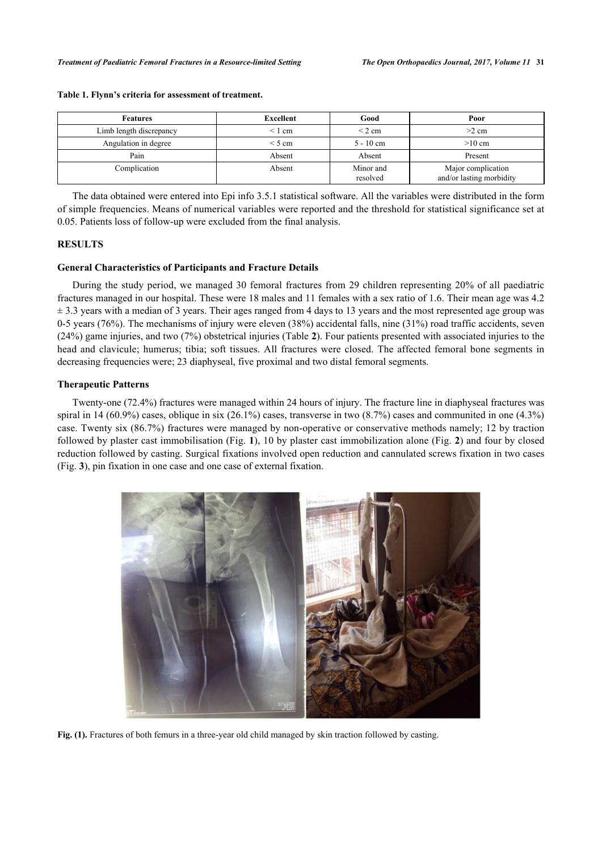| <b>Features</b>         | Excellent                  | Good                  | Poor                                           |  |
|-------------------------|----------------------------|-----------------------|------------------------------------------------|--|
| Limb length discrepancy | $\leq 1$ cm                | $\leq$ 2 cm           | $>2$ cm                                        |  |
| Angulation in degree    | $\leq$ 5 cm<br>$5 - 10$ cm |                       | $>10$ cm                                       |  |
| Pain                    | Absent                     | Absent                | Present                                        |  |
| Complication            | Absent                     | Minor and<br>resolved | Major complication<br>and/or lasting morbidity |  |

#### <span id="page-2-0"></span>**Table 1. Flynn's criteria for assessment of treatment.**

The data obtained were entered into Epi info 3.5.1 statistical software. All the variables were distributed in the form of simple frequencies. Means of numerical variables were reported and the threshold for statistical significance set at 0.05. Patients loss of follow-up were excluded from the final analysis.

## **RESULTS**

#### **General Characteristics of Participants and Fracture Details**

During the study period, we managed 30 femoral fractures from 29 children representing 20% of all paediatric fractures managed in our hospital. These were 18 males and 11 females with a sex ratio of 1.6. Their mean age was 4.2  $\pm$  3.3 years with a median of 3 years. Their ages ranged from 4 days to 13 years and the most represented age group was 0-5 years (76%). The mechanisms of injury were eleven (38%) accidental falls, nine (31%) road traffic accidents, seven (24%) game injuries, and two (7%) obstetrical injuries (Table **[2](#page-3-0)**). Four patients presented with associated injuries to the head and clavicule; humerus; tibia; soft tissues. All fractures were closed. The affected femoral bone segments in decreasing frequencies were; 23 diaphyseal, five proximal and two distal femoral segments.

#### **Therapeutic Patterns**

Twenty-one (72.4%) fractures were managed within 24 hours of injury. The fracture line in diaphyseal fractures was spiral in 14 (60.9%) cases, oblique in six (26.1%) cases, transverse in two (8.7%) cases and communited in one (4.3%) case. Twenty six (86.7%) fractures were managed by non-operative or conservative methods namely; 12 by traction followed by plaster cast immobilisation (Fig. **[1](#page-2-1)**), 10 by plaster cast immobilization alone (Fig. **[2](#page-2-2)**) and four by closed reduction followed by casting. Surgical fixations involved open reduction and cannulated screws fixation in two cases (Fig. **[3](#page-3-1)**), pin fixation in one case and one case of external fixation.

<span id="page-2-2"></span><span id="page-2-1"></span>

**Fig. (1).** Fractures of both femurs in a three-year old child managed by skin traction followed by casting.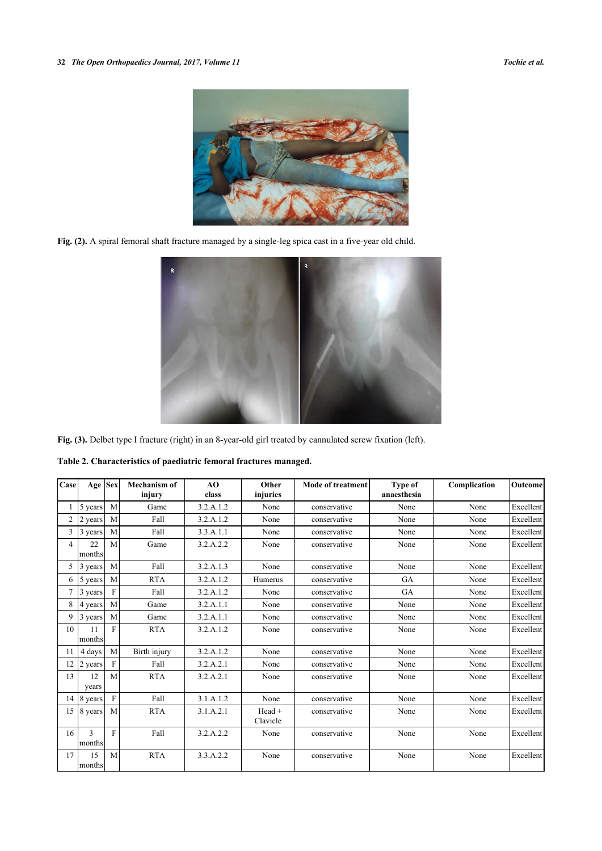

**Fig. (2).** A spiral femoral shaft fracture managed by a single-leg spica cast in a five-year old child.

<span id="page-3-1"></span>

**Fig. (3).** Delbet type I fracture (right) in an 8-year-old girl treated by cannulated screw fixation (left).

<span id="page-3-0"></span>**Table 2. Characteristics of paediatric femoral fractures managed.**

| Case           | Age Sex      |              | <b>Mechanism of</b><br>injury | AO<br>class | Other<br>injuries  | <b>Mode of treatment</b> | Type of<br>anaesthesia | Complication | Outcome   |
|----------------|--------------|--------------|-------------------------------|-------------|--------------------|--------------------------|------------------------|--------------|-----------|
|                | 5 years      | M            | Game                          | 3.2.A.1.2   | None               | conservative             | None                   | None         | Excellent |
| $\overline{c}$ | 2 years      | M            | Fall                          | 3.2.A.1.2   | None               | conservative             | None                   | None         | Excellent |
| 3              | 3 years      | M            | Fall                          | 3.3.A.1.1   | None               | conservative             | None                   | None         | Excellent |
| $\overline{4}$ | 22<br>months | M            | Game                          | 3.2.A.2.2   | None               | conservative             | None                   | None         | Excellent |
| 5              | 3 years      | M            | Fall                          | 3.2.A.1.3   | None               | conservative             | None                   | None         | Excellent |
| 6              | 5 years      | M            | <b>RTA</b>                    | 3.2.A.1.2   | Humerus            | conservative             | <b>GA</b>              | None         | Excellent |
| 7              | 3 years      | F            | Fall                          | 3.2.A.1.2   | None               | conservative             | <b>GA</b>              | None         | Excellent |
| 8              | 4 years      | M            | Game                          | 3.2.A.1.1   | None               | conservative             | None                   | None         | Excellent |
| 9              | 3 years      | M            | Game                          | 3.2.A.1.1   | None               | conservative             | None                   | None         | Excellent |
| 10             | 11<br>months | F            | <b>RTA</b>                    | 3.2.A.1.2   | None               | conservative             | None                   | None         | Excellent |
| 11             | 4 days       | M            | Birth injury                  | 3.2.A.1.2   | None               | conservative             | None                   | None         | Excellent |
| 12             | 2 years      | F            | Fall                          | 3.2.A.2.1   | None               | conservative             | None                   | None         | Excellent |
| 13             | 12<br>years  | M            | <b>RTA</b>                    | 3.2.A.2.1   | None               | conservative             | None                   | None         | Excellent |
| 14             | 8 years      | $\mathbf{F}$ | Fall                          | 3.1.A.1.2   | None               | conservative             | None                   | None         | Excellent |
| 15             | 8 years      | M            | <b>RTA</b>                    | 3.1.A.2.1   | Head +<br>Clavicle | conservative             | None                   | None         | Excellent |
| 16             | 3<br>months  | $\mathbf{F}$ | Fall                          | 3.2.A.2.2   | None               | conservative             | None                   | None         | Excellent |
| 17             | 15<br>months | M            | <b>RTA</b>                    | 3.3.A.2.2   | None               | conservative             | None                   | None         | Excellent |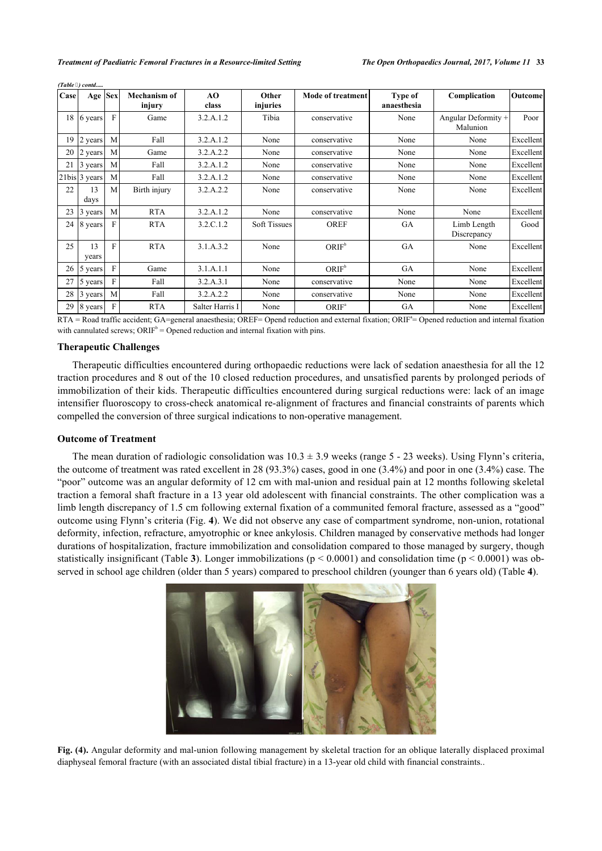| Case | Age Sex       |              | <b>Mechanism of</b><br>injury | AO<br>class     | Other<br>injuries   | <b>Mode of treatment</b> | Type of<br>anaesthesia | Complication                    | Outcome   |
|------|---------------|--------------|-------------------------------|-----------------|---------------------|--------------------------|------------------------|---------------------------------|-----------|
| 18   | 6 years       | $\mathbf F$  | Game                          | 3.2.A.1.2       | Tibia               | conservative             | None                   | Angular Deformity +<br>Malunion | Poor      |
| 19   | 2 years       | M            | Fall                          | 3.2.A.1.2       | None                | conservative             | None                   | None                            | Excellent |
| 20   | 2 years       | M            | Game                          | 3.2.A.2.2       | None                | conservative             | None                   | None                            | Excellent |
| 21   | 3 years       | M            | Fall                          | 3.2.A.1.2       | None                | conservative             | None                   | None                            | Excellent |
|      | 21bis 3 years | M            | Fall                          | 3.2.A.1.2       | None                | conservative             | None                   | None                            | Excellent |
| 22   | 13<br>days    | M            | Birth injury                  | 3.2.A.2.2       | None                | conservative             | None                   | None                            | Excellent |
| 23   | 13 years      | M            | <b>RTA</b>                    | 3.2.A.1.2       | None                | conservative             | None                   | None                            | Excellent |
| 24   | 8 years       | F            | <b>RTA</b>                    | 3.2.C.1.2       | <b>Soft Tissues</b> | <b>OREF</b>              | GA                     | Limb Length<br>Discrepancy      | Good      |
| 25   | 13<br>years   | F            | <b>RTA</b>                    | 3.1.A.3.2       | None                | ORIF <sup>b</sup>        | GA                     | None                            | Excellent |
| 26   | 5 years       | $\mathbf{F}$ | Game                          | 3.1.A.1.1       | None                | ORIF <sup>b</sup>        | GA                     | None                            | Excellent |
| 27   | 5 years       | F            | Fall                          | 3.2.A.3.1       | None                | conservative             | None                   | None                            | Excellent |
| 28   | 3 years       | M            | Fall                          | 3.2.A.2.2       | None                | conservative             | None                   | None                            | Excellent |
| 29   | 8 years       | F            | <b>RTA</b>                    | Salter Harris I | None                | ORIF <sup>a</sup>        | GA                     | None                            | Excellent |

RTA = Road traffic accident; GA=general anaesthesia; OREF= Opend reduction and external fixation; ORIF<sup>a</sup>= Opened reduction and internal fixation with cannulated screws;  $ORIF<sup>b</sup> = Opened reduction and internal fixation with pins.$ 

#### **Therapeutic Challenges**

*(Table ) contd.....*

Therapeutic difficulties encountered during orthopaedic reductions were lack of sedation anaesthesia for all the 12 traction procedures and 8 out of the 10 closed reduction procedures, and unsatisfied parents by prolonged periods of immobilization of their kids. Therapeutic difficulties encountered during surgical reductions were: lack of an image intensifier fluoroscopy to cross-check anatomical re-alignment of fractures and financial constraints of parents which compelled the conversion of three surgical indications to non-operative management.

# **Outcome of Treatment**

<span id="page-4-0"></span>The mean duration of radiologic consolidation was  $10.3 \pm 3.9$  weeks (range 5 - 23 weeks). Using Flynn's criteria, the outcome of treatment was rated excellent in 28 (93.3%) cases, good in one (3.4%) and poor in one (3.4%) case. The "poor" outcome was an angular deformity of 12 cm with mal-union and residual pain at 12 months following skeletal traction a femoral shaft fracture in a 13 year old adolescent with financial constraints. The other complication was a limb length discrepancy of 1.5 cm following external fixation of a communited femoral fracture, assessed as a "good" outcome using Flynn's criteria (Fig. **[4](#page-4-0)**). We did not observe any case of compartment syndrome, non-union, rotational deformity, infection, refracture, amyotrophic or knee ankylosis. Children managed by conservative methods had longer durations of hospitalization, fracture immobilization and consolidation compared to those managed by surgery, though statistically insignificant (Table **[3](#page-4-1)**). Longer immobilizations ( $p < 0.0001$ ) and consolidation time ( $p < 0.0001$ ) was observed in school age children (older than 5 years) compared to preschool children (younger than 6 years old) (Table **[4](#page-5-0)**).



<span id="page-4-1"></span>**Fig. (4).** Angular deformity and mal-union following management by skeletal traction for an oblique laterally displaced proximal diaphyseal femoral fracture (with an associated distal tibial fracture) in a 13-year old child with financial constraints..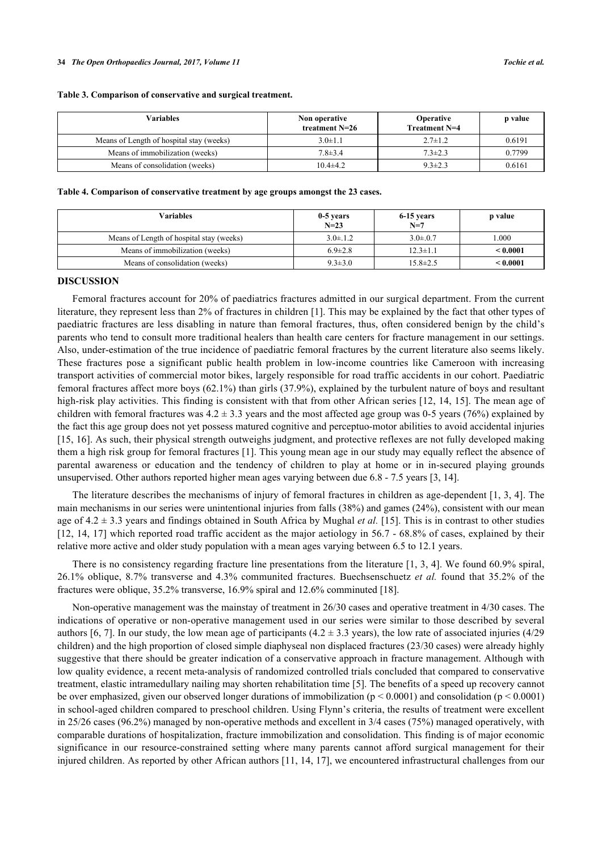#### **Table 3. Comparison of conservative and surgical treatment.**

| Variables                                | Non operative<br>treatment $N=26$ | <b>Operative</b><br><b>Treatment N=4</b> | p value |
|------------------------------------------|-----------------------------------|------------------------------------------|---------|
| Means of Length of hospital stay (weeks) | $3.0 \pm 1.1$                     | $2.7 \pm 1.2$                            | 0.6191  |
| Means of immobilization (weeks)          | $7.8 \pm 3.4$                     | $7.3 \pm 2.3$                            | 0.7799  |
| Means of consolidation (weeks)           | $10.4\pm 4.2$                     | $9.3 \pm 2.3$                            | 0.6161  |

#### <span id="page-5-0"></span>**Table 4. Comparison of conservative treatment by age groups amongst the 23 cases.**

| Variables                                | 0-5 years<br>$N=23$ | 6-15 years<br>$N=7$ | p value       |
|------------------------------------------|---------------------|---------------------|---------------|
| Means of Length of hospital stay (weeks) | $3.0 \pm 1.2$       | $3.0 \pm 0.7$       | .000          |
| Means of immobilization (weeks)          | $6.9 \pm 2.8$       | $12.3 \pm 1.1$      | ${}_{0.0001}$ |
| Means of consolidation (weeks)           | $9.3 \pm 3.0$       | $15.8 \pm 2.5$      | < 0.0001      |

## **DISCUSSION**

Femoral fractures account for 20% of paediatrics fractures admitted in our surgical department. From the current literature, they represent less than 2% of fractures in children [[1](#page-6-0)]. This may be explained by the fact that other types of paediatric fractures are less disabling in nature than femoral fractures, thus, often considered benign by the child's parents who tend to consult more traditional healers than health care centers for fracture management in our settings. Also, under-estimation of the true incidence of paediatric femoral fractures by the current literature also seems likely. These fractures pose a significant public health problem in low-income countries like Cameroon with increasing transport activities of commercial motor bikes, largely responsible for road traffic accidents in our cohort. Paediatric femoral fractures affect more boys (62.1%) than girls (37.9%), explained by the turbulent nature of boys and resultant high-risk play activities. This finding is consistent with that from other African series [\[12](#page-7-3), [14](#page-7-5), [15](#page-7-6)]. The mean age of children with femoral fractures was  $4.2 \pm 3.3$  years and the most affected age group was 0-5 years (76%) explained by the fact this age group does not yet possess matured cognitive and perceptuo-motor abilities to avoid accidental injuries [\[15](#page-7-6), [16\]](#page-7-7). As such, their physical strength outweighs judgment, and protective reflexes are not fully developed making them a high risk group for femoral fractures [[1\]](#page-6-0). This young mean age in our study may equally reflect the absence of parental awareness or education and the tendency of children to play at home or in in-secured playing grounds unsupervised. Other authors reported higher mean ages varying between due 6.8 - 7.5 years [[3,](#page-6-2) [14\]](#page-7-5).

The literature describes the mechanisms of injury of femoral fractures in children as age-dependent [[1,](#page-6-0) [3](#page-6-2), [4\]](#page-6-3). The main mechanisms in our series were unintentional injuries from falls (38%) and games (24%), consistent with our mean age of 4.2 ± 3.3 years and findings obtained in South Africa by Mughal *et al.* [\[15\]](#page-7-6). This is in contrast to other studies [\[12](#page-7-3), [14](#page-7-5), [17](#page-7-8)] which reported road traffic accident as the major aetiology in 56.7 - 68.8% of cases, explained by their relative more active and older study population with a mean ages varying between 6.5 to 12.1 years.

There is no consistency regarding fracture line presentations from the literature [\[1](#page-6-0), [3,](#page-6-2) [4\]](#page-6-3). We found 60.9% spiral, 26.1% oblique, 8.7% transverse and 4.3% communited fractures. Buechsenschuetz *et al.* found that 35.2% of the fractures were oblique, 35.2% transverse, 16.9% spiral and 12.6% comminuted [\[18](#page-7-9)].

Non-operative management was the mainstay of treatment in 26/30 cases and operative treatment in 4/30 cases. The indications of operative or non-operative management used in our series were similar to those described by several authors [[6,](#page-6-6) [7\]](#page-6-5). In our study, the low mean age of participants (4.2  $\pm$  3.3 years), the low rate of associated injuries (4/29 children) and the high proportion of closed simple diaphyseal non displaced fractures (23/30 cases) were already highly suggestive that there should be greater indication of a conservative approach in fracture management. Although with low quality evidence, a recent meta-analysis of randomized controlled trials concluded that compared to conservative treatment, elastic intramedullary nailing may shorten rehabilitation time [\[5](#page-6-4)]. The benefits of a speed up recovery cannot be over emphasized, given our observed longer durations of immobilization (p < 0.0001) and consolidation (p < 0.0001) in school-aged children compared to preschool children. Using Flynn's criteria, the results of treatment were excellent in 25/26 cases (96.2%) managed by non-operative methods and excellent in 3/4 cases (75%) managed operatively, with comparable durations of hospitalization, fracture immobilization and consolidation. This finding is of major economic significance in our resource-constrained setting where many parents cannot afford surgical management for their injured children. As reported by other African authors [[11](#page-7-2), [14](#page-7-5), [17\]](#page-7-8), we encountered infrastructural challenges from our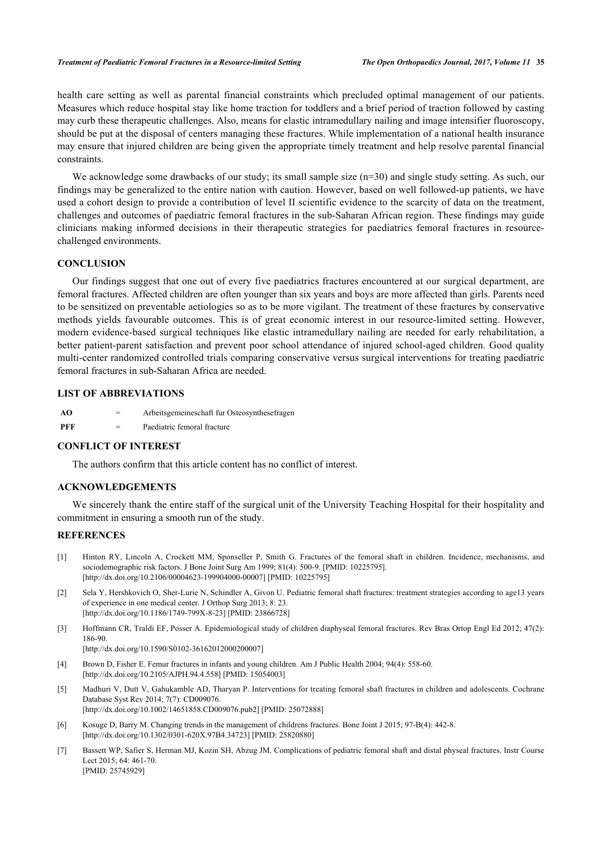#### *Treatment of Paediatric Femoral Fractures in a Resource-limited Setting The Open Orthopaedics Journal, 2017, Volume 11* **35**

health care setting as well as parental financial constraints which precluded optimal management of our patients. Measures which reduce hospital stay like home traction for toddlers and a brief period of traction followed by casting may curb these therapeutic challenges. Also, means for elastic intramedullary nailing and image intensifier fluoroscopy, should be put at the disposal of centers managing these fractures. While implementation of a national health insurance may ensure that injured children are being given the appropriate timely treatment and help resolve parental financial constraints.

We acknowledge some drawbacks of our study; its small sample size (n=30) and single study setting. As such, our findings may be generalized to the entire nation with caution. However, based on well followed-up patients, we have used a cohort design to provide a contribution of level II scientific evidence to the scarcity of data on the treatment, challenges and outcomes of paediatric femoral fractures in the sub-Saharan African region. These findings may guide clinicians making informed decisions in their therapeutic strategies for paediatrics femoral fractures in resourcechallenged environments.

## **CONCLUSION**

Our findings suggest that one out of every five paediatrics fractures encountered at our surgical department, are femoral fractures. Affected children are often younger than six years and boys are more affected than girls. Parents need to be sensitized on preventable aetiologies so as to be more vigilant. The treatment of these fractures by conservative methods yields favourable outcomes. This is of great economic interest in our resource-limited setting. However, modern evidence-based surgical techniques like elastic intramedullary nailing are needed for early rehabilitation, a better patient-parent satisfaction and prevent poor school attendance of injured school-aged children. Good quality multi-center randomized controlled trials comparing conservative versus surgical interventions for treating paediatric femoral fractures in sub-Saharan Africa are needed.

## **LIST OF ABBREVIATIONS**

| AO  | $=$ | Arbeitsgemeineschaft fur Osteosynthesefragen |
|-----|-----|----------------------------------------------|
| PFF | $=$ | Paediatric femoral fracture                  |

#### **CONFLICT OF INTEREST**

The authors confirm that this article content has no conflict of interest.

## **ACKNOWLEDGEMENTS**

We sincerely thank the entire staff of the surgical unit of the University Teaching Hospital for their hospitality and commitment in ensuring a smooth run of the study.

#### **REFERENCES**

- <span id="page-6-0"></span>[1] Hinton RY, Lincoln A, Crockett MM, Sponseller P, Smith G. Fractures of the femoral shaft in children. Incidence, mechanisms, and sociodemographic risk factors. J Bone Joint Surg Am 1999; 81(4): 500-9. [PMID: 10225795]. [\[http://dx.doi.org/10.2106/00004623-199904000-00007](http://dx.doi.org/10.2106/00004623-199904000-00007)] [PMID: [10225795\]](http://www.ncbi.nlm.nih.gov/pubmed/10225795)
- <span id="page-6-1"></span>[2] Sela Y, Hershkovich O, Sher-Lurie N, Schindler A, Givon U. Pediatric femoral shaft fractures: treatment strategies according to age13 years of experience in one medical center. J Orthop Surg 2013; 8: 23. [\[http://dx.doi.org/10.1186/1749-799X-8-23\]](http://dx.doi.org/10.1186/1749-799X-8-23) [PMID: [23866728](http://www.ncbi.nlm.nih.gov/pubmed/23866728)]
- <span id="page-6-2"></span>[3] Hoffmann CR, Traldi EF, Posser A. Epidemiological study of children diaphyseal femoral fractures. Rev Bras Ortop Engl Ed 2012; 47(2): 186-90.

[\[http://dx.doi.org/10.1590/S0102-36162012000200007\]](http://dx.doi.org/10.1590/S0102-36162012000200007)

- <span id="page-6-3"></span>[4] Brown D, Fisher E. Femur fractures in infants and young children. Am J Public Health 2004; 94(4): 558-60. [\[http://dx.doi.org/10.2105/AJPH.94.4.558\]](http://dx.doi.org/10.2105/AJPH.94.4.558) [PMID: [15054003](http://www.ncbi.nlm.nih.gov/pubmed/15054003)]
- <span id="page-6-4"></span>[5] Madhuri V, Dutt V, Gahukamble AD, Tharyan P. Interventions for treating femoral shaft fractures in children and adolescents. Cochrane Database Syst Rev 2014; 7(7): CD009076. [\[http://dx.doi.org/10.1002/14651858.CD009076.pub2\]](http://dx.doi.org/10.1002/14651858.CD009076.pub2) [PMID: [25072888](http://www.ncbi.nlm.nih.gov/pubmed/25072888)]
- <span id="page-6-6"></span>[6] Kosuge D, Barry M. Changing trends in the management of childrens fractures. Bone Joint J 2015; 97-B(4): 442-8. [\[http://dx.doi.org/10.1302/0301-620X.97B4.34723\]](http://dx.doi.org/10.1302/0301-620X.97B4.34723) [PMID: [25820880](http://www.ncbi.nlm.nih.gov/pubmed/25820880)]
- <span id="page-6-5"></span>[7] Bassett WP, Safier S, Herman MJ, Kozin SH, Abzug JM. Complications of pediatric femoral shaft and distal physeal fractures. Instr Course Lect 2015; 64: 461-70. [PMID: [25745929\]](http://www.ncbi.nlm.nih.gov/pubmed/25745929)